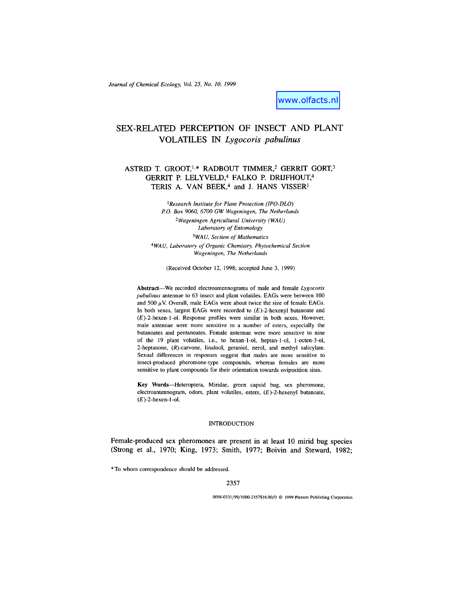*Journal of Chemical Ecology, Vol. 25, No. 10, 1999*

www.olfacts.nl

# SEX-RELATED PERCEPTION OF INSECT AND PLANT VOLATILES IN *Lygocoris pabulinus*

## ASTRID T. GROOT,<sup>1,\*</sup> RADBOUT TIMMER,<sup>2</sup> GERRIT GORT,<sup>3</sup> GERRIT P. LELYVELD,<sup>4</sup> FALKO P. DRIJFHOUT,<sup>4</sup> TERIS A. VAN BEEK,<sup>4</sup> and J. HANS VISSER<sup>1</sup>

1  *Research Institute for Plant Protection (IPO-DLO) P.O. Box 9060, 6700 GW Wageningen, The Netherlands* <sup>2</sup>*Wageningen Agricultural University (WAU) Laboratory of Entomology* <sup>3</sup>*WAU, Section of Mathematics* <sup>4</sup>*WAU, Laboratory of Organic Chemistry, Phytochemical Section Wageningen, The Netherlands*

(Received October 12, 1998; accepted June 3, 1999)

**Abstract**—We recorded electroantennograms of male and female *Lygocoris pabulinus* antennae to 63 insect and plant volatiles. EAGs were between 100 and 500  $\mu$ V. Overall, male EAGs were about twice the size of female EAGs. In both sexes, largest EAGs were recorded to  $(E)$ -2-hexenyl butanoate and  $(E)$ -2-hexen-1-ol. Response profiles were similar in both sexes. However, male antennae were more sensitive to a number of esters, especially the butanoates and pentanoates. Female antennae were more sensitive to nine of the 19 plant volatiles, i.e., to hexan-1-ol, heptan-1-ol, 1-octen-3-ol, 2-heptanone, (R)-carvone, linalool, geraniol, nerol, and methyl salicylate. Sexual differences in responses suggest that males are more sensitive to insect-produced pheromone-type compounds, whereas females are more sensitive to plant compounds for their orientation towards oviposition sites.

**Key Words**—Heteroptera, Miridae, green capsid bug, sex pheromone, electroantennogram, odors, plant volatiles, esters, (E>2-hexenyl butanoate,  $(E)$ -2-hexen-1-ol.

#### INTRODUCTION

Female-produced sex pheromones are present in at least 10 mirid bug species (Strong et al., 1970; King, 1973; Smith, 1977; Boivin and Steward, 1982;

\*To whom correspondence should be addressed.

### 2357

0098-0331/99/1000-2357\$16.00/0 © 1999 Plenum Publishing Corporation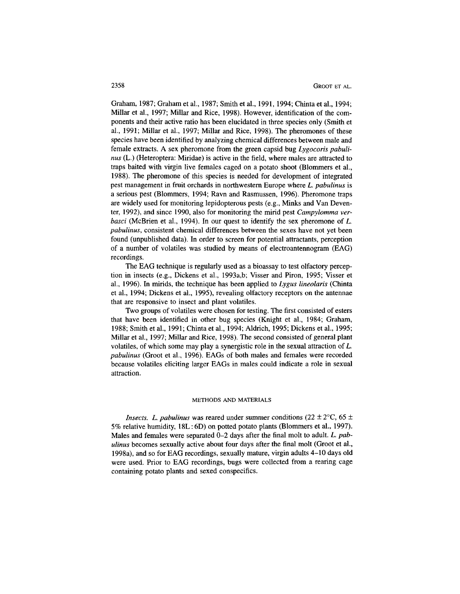Graham, 1987; Graham et al., 1987; Smith et al., 1991, 1994; Chinta et al, 1994; Millar et al., 1997; Millar and Rice, 1998). However, identification of the components and their active ratio has been elucidated in three species only (Smith et al., 1991; Millar et al., 1997; Millar and Rice, 1998). The pheromones of these species have been identified by analyzing chemical differences between male and female extracts. A sex pheromone from the green capsid bug *Lygocoris pabulinus* (L.) (Heteroptera: Miridae) is active in the field, where males are attracted to traps baited with virgin live females caged on a potato shoot (Blommers et al., 1988). The pheromone of this species is needed for development of integrated pest management in fruit orchards in northwestern Europe where *L. pabulinus* is a serious pest (Blommers, 1994; Ravn and Rasmussen, 1996). Pheromone traps are widely used for monitoring lepidopterous pests (e.g., Minks and Van Deventer, 1992), and since 1990, also for monitoring the mirid pest *Campylomma verbasci* (McBrien et al., 1994). In our quest to identify the sex pheromone of *L. pabulinus,* consistent chemical differences between the sexes have not yet been found (unpublished data). In order to screen for potential attractants, perception of a number of volatiles was studied by means of electroantennogram (EAG) recordings.

The EAG technique is regularly used as a bioassay to test olfactory perception in insects (e.g., Dickens et al., 1993a,b; Visser and Piron, 1995; Visser et al., 1996). In mirids, the technique has been applied to *Lygus lineolaris* (Chinta et al., 1994; Dickens et al., 1995), revealing olfactory receptors on the antennae that are responsive to insect and plant volatiles.

Two groups of volatiles were chosen for testing. The first consisted of esters that have been identified in other bug species (Knight et al., 1984; Graham, 1988; Smith et al., 1991; Chinta et al., 1994; Aldrich, 1995; Dickens et al., 1995; Millar et al., 1997; Millar and Rice, 1998). The second consisted of general plant volatiles, of which some may play a synergistic role in the sexual attraction of *L. pabulinus* (Groot et al., 1996). EAGs of both males and females were recorded because volatiles eliciting larger EAGs in males could indicate a role in sexual attraction.

#### METHODS AND MATERIALS

*Insects. L. pabulinus* was reared under summer conditions (22  $\pm$  2 $\degree$ C, 65  $\pm$ 5% relative humidity, 18L: 6D) on potted potato plants (Blommers et al., 1997). Males and females were separated 0-2 days after the final molt to adult. *L. pabulinus* becomes sexually active about four days after the final molt (Groot et al., 1998a), and so for EAG recordings, sexually mature, virgin adults 4-10 days old were used. Prior to EAG recordings, bugs were collected from a rearing cage containing potato plants and sexed conspecifics.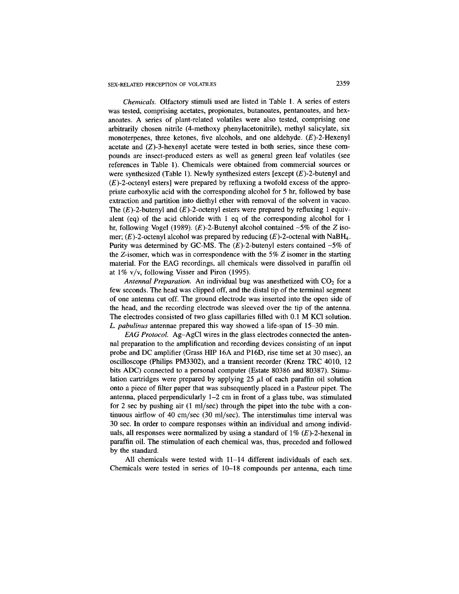*Chemicals.* Olfactory stimuli used are listed in Table 1. A series of esters was tested, comprising acetates, propionates, butanoates, pentanoates, and hexanoates. A series of plant-related volatiles were also tested, comprising one arbitrarily chosen nitrile (4-methoxy phenylacetonitrile), methyl salicylate, six monoterpenes, three ketones, five alcohols, and one aldehyde.  $(E)$ -2-Hexenyl acetate and  $(Z)$ -3-hexenyl acetate were tested in both series, since these compounds are insect-produced esters as well as general green leaf volatiles (see references in Table 1). Chemicals were obtained from commercial sources or were synthesized (Table 1). Newly synthesized esters [except  $(E)$ -2-butenyl and  $(E)$ -2-octenyl esters] were prepared by refluxing a twofold excess of the appropriate carboxylic acid with the corresponding alcohol for 5 hr, followed by base extraction and partition into diethyl ether with removal of the solvent in vacuo. The  $(E)$ -2-butenyl and  $(E)$ -2-octenyl esters were prepared by refluxing 1 equivalent (eq) of the acid chloride with 1 eq of the corresponding alcohol for 1 hr, following Vogel (1989).  $(E)$ -2-Butenyl alcohol contained ~5% of the Z isomer;  $(E)$ -2-octenyl alcohol was prepared by reducing  $(E)$ -2-octenal with NaBH<sub>4</sub>. Purity was determined by GC-MS. The  $(E)$ -2-butenyl esters contained  $\sim$ 5% of the Z-isomer, which was in correspondence with the 5% Z isomer in the starting material. For the EAG recordings, all chemicals were dissolved in paraffin oil at 1% v/v, following Visser and Piron (1995).

*Antennal Preparation.* An individual bug was anesthetized with  $CO<sub>2</sub>$  for a few seconds. The head was clipped off, and the distal tip of the terminal segment of one antenna cut off. The ground electrode was inserted into the open side of the head, and the recording electrode was sleeved over the tip of the antenna. The electrodes consisted of two glass capillaries filled with 0.1 M KCl solution. *L. pabulinus* antennae prepared this way showed a life-span of 15-30 min.

*EAG Protocol.* Ag-AgCl wires in the glass electrodes connected the antennal preparation to the amplification and recording devices consisting of an input probe and DC amplifier (Grass HIP 16A and P16D, rise time set at 30 msec), an oscilloscope (Philips PM3302), and a transient recorder (Krenz TRC 4010, 12 bits ADC) connected to a personal computer (Estate 80386 and 80387). Stimulation cartridges were prepared by applying  $25 \mu l$  of each paraffin oil solution onto a piece of filter paper that was subsequently placed in a Pasteur pipet. The antenna, placed perpendicularly 1-2 cm in front of a glass tube, was stimulated for 2 sec by pushing air (1 ml/sec) through the pipet into the tube with a continuous airflow of 40 cm/sec (30 ml/sec). The interstimulus time interval was 30 sec. In order to compare responses within an individual and among individuals, all responses were normalized by using a standard of  $1\%$  (E)-2-hexenal in paraffin oil. The stimulation of each chemical was, thus, preceded and followed by the standard.

All chemicals were tested with  $11-14$  different individuals of each sex. Chemicals were tested in series of 10-18 compounds per antenna, each time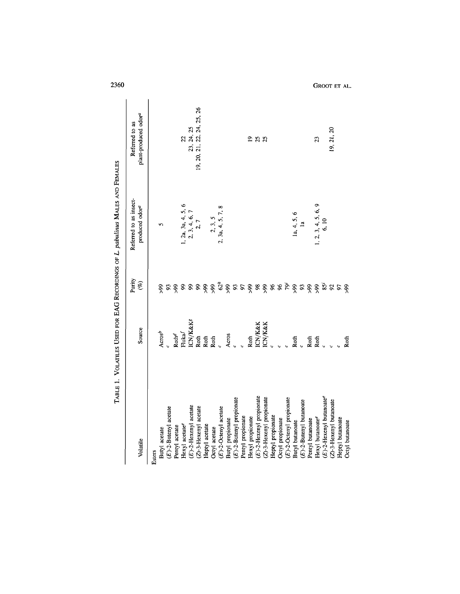|                             | Source                   | Purity<br>$(\%)$                                                                                                                                                                                                     | Referred to as insect-<br>produced odor <sup>a</sup> | Referred to as                                                         |
|-----------------------------|--------------------------|----------------------------------------------------------------------------------------------------------------------------------------------------------------------------------------------------------------------|------------------------------------------------------|------------------------------------------------------------------------|
| Volatile                    |                          |                                                                                                                                                                                                                      |                                                      | plant-produced odor <sup>a</sup>                                       |
| Esters                      |                          |                                                                                                                                                                                                                      |                                                      |                                                                        |
| Butyl acetate               | Acros <sup>b</sup>       | $\frac{56}{5}$                                                                                                                                                                                                       |                                                      |                                                                        |
| $(E)$ -2-Butenyl acetate    |                          | 93                                                                                                                                                                                                                   |                                                      |                                                                        |
| Pentyl acetate              |                          |                                                                                                                                                                                                                      |                                                      |                                                                        |
| Hexyl acetate <sup>e</sup>  | ${\rm Roth}^d$ Fluka $f$ |                                                                                                                                                                                                                      |                                                      | 23, 24, 25<br>19, 20, 21, 22, 24, 25, 26<br>19, 20, 21, 22, 24, 25, 26 |
| (E)-2-Hexenyl acetate       | <b>CN/K&amp;Kg</b>       |                                                                                                                                                                                                                      | 1, 2a, 3a, 4, 5, 6<br>2, 3, 4, 6, 7<br>2, 7          |                                                                        |
| (Z)-3-Hexenyl acetate       | Roth                     |                                                                                                                                                                                                                      |                                                      |                                                                        |
| Heptyl acetate              | Roth                     |                                                                                                                                                                                                                      |                                                      |                                                                        |
| Octyl acetate               | Roth                     |                                                                                                                                                                                                                      | 2, 3, 5                                              |                                                                        |
| $(E)$ -2-Octenyl acetate    | $\frac{1}{2}$            |                                                                                                                                                                                                                      | 2, 3a, 4, 5, 7, 8                                    |                                                                        |
| Butyl propionate            | Acros                    |                                                                                                                                                                                                                      |                                                      |                                                                        |
| $(E)$ -2-Butenyl propionate |                          | $\, 8\, 8\, 8\, 8\, \tilde{\varphi}\, \tilde{\varphi}\, \tilde{\varphi}\, s\, s\, s\, \tilde{\varphi}\, s\, \tilde{\varphi}\, s\, \tilde{\varphi}\, s\, \tilde{\varphi}\, s\, \tilde{\varphi}\, s\, \tilde{\varphi}$ |                                                      |                                                                        |
| Pentyl propionate           |                          |                                                                                                                                                                                                                      |                                                      |                                                                        |
| Hexyl propionate            | Roth                     |                                                                                                                                                                                                                      |                                                      |                                                                        |
| $(E)$ -2-Hexenyl propionate | <b>ICN/K&amp;K</b>       |                                                                                                                                                                                                                      |                                                      | 288                                                                    |
| (Z)-3-Hexenyl propionate    | <b>ICN/K&amp;K</b>       |                                                                                                                                                                                                                      |                                                      |                                                                        |
| Heptyl propionate           |                          |                                                                                                                                                                                                                      |                                                      |                                                                        |
| Octyl propionate            |                          |                                                                                                                                                                                                                      |                                                      |                                                                        |
| E)-2-Octenyl propionate     |                          |                                                                                                                                                                                                                      |                                                      |                                                                        |
| Butyl butanoate             | $R$ oth<br>$c$           |                                                                                                                                                                                                                      | 1a, 4, 5, 6                                          |                                                                        |
| E)-2-Butenyl butanoate      |                          |                                                                                                                                                                                                                      | $\mathbf{a}$                                         |                                                                        |
| Pentyl butanoate            | Roth<br>Roth             |                                                                                                                                                                                                                      |                                                      |                                                                        |
| Hexyl butanoatee            |                          |                                                                                                                                                                                                                      | 1, 2, 3, 4, 5, 6, 9                                  | 23                                                                     |
| $(E)$ -2-Hexenyl butanoatee | $\overline{a}$           |                                                                                                                                                                                                                      |                                                      |                                                                        |
| (Z)-3-Hexenyl butanoate     | $\overline{a}$           |                                                                                                                                                                                                                      |                                                      | 19, 21, 20                                                             |
| Heptyl butanoate            |                          | 97                                                                                                                                                                                                                   |                                                      |                                                                        |
| <b>Octyl</b> butanoate      | Roth                     | 66 <sup>°</sup>                                                                                                                                                                                                      |                                                      |                                                                        |

2360 GROOT ET AL.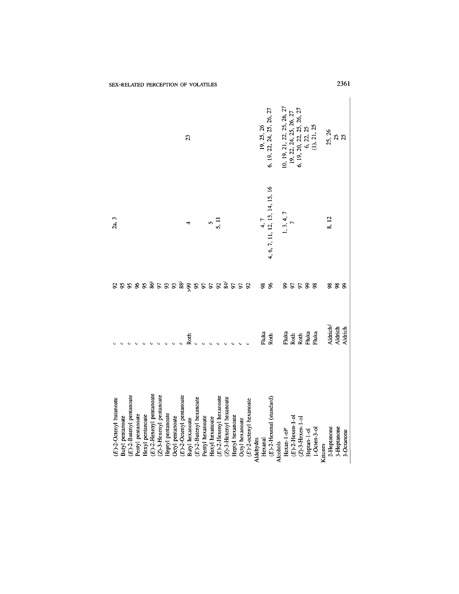|                                                                                                                                                                                                                                                           | 23                                                                                                                 |                                                                                                              | 19, 25, 26<br>6, 19, 22, 24, 25, 26, 27                           | 10, 19, 21, 22, 25, 26, 27<br>19, 22, 24, 25, 26, 27<br>6, 19, 20, 22, 25, 26, 27<br>6, 22, 25<br>(1), 21, 25 | 25, 26<br>25<br>25                                  |
|-----------------------------------------------------------------------------------------------------------------------------------------------------------------------------------------------------------------------------------------------------------|--------------------------------------------------------------------------------------------------------------------|--------------------------------------------------------------------------------------------------------------|-------------------------------------------------------------------|---------------------------------------------------------------------------------------------------------------|-----------------------------------------------------|
| 2a, 3                                                                                                                                                                                                                                                     | $5\frac{1}{10}$                                                                                                    |                                                                                                              | 4, 6, 7, 11, 12, 13, 14, 15, 16<br>1, 3, 4, 7                     |                                                                                                               | 8, 12                                               |
| 88888858888885583558                                                                                                                                                                                                                                      |                                                                                                                    |                                                                                                              | <b>96</b><br>S)                                                   | 5588                                                                                                          | 88<br>$\boldsymbol{\mathsf{S}}$                     |
|                                                                                                                                                                                                                                                           | Roth                                                                                                               |                                                                                                              | Fluka<br>Roth                                                     | Fluka<br>Roth<br>Fluka<br>Fluka                                                                               | Aldrich <sup>j</sup><br>Aldrich<br>Aldrich          |
| $(E)$ -2-Hexenyl pentanoate<br>$(E)$ -2-Butenyl pentanoate<br>(Z)-3-Hexenyl pentanoate<br>$(E)$ -2-Octenyl pentanoate<br>$(E)$ -2-Octenyl butanoate<br>Heptyl pentanoate<br>Pentyl pentanoate<br>Hexyl pentanoate<br>Octyl pentanoate<br>Butyl pentanoate | $(E)$ -2-Hexenyl hexanoate<br>$(E)$ -2-Butenyl hexanoate<br>Pentyl hexanoate<br>Hexyl hexanoate<br>Butyl hexanoate | $(2)$ -3-Hexenyl hexanoate<br>$(E)$ -2-octenyl hexanoate<br>Heptyl hexanoate<br>Octyl hexanoate<br>Aldehydes | $(E)$ -2-Hexenal (standard)<br>Hexan-1-ole<br>Hexanal<br>Alcohols | $(E)$ -2-Hexen-1-ol<br>$(Z)$ -3-Hexen-1-ol<br>$1-Octen-3-01$<br>Heptan-1-ol                                   | 3-Heptanone<br>2-Heptanone<br>3-Octanone<br>Ketones |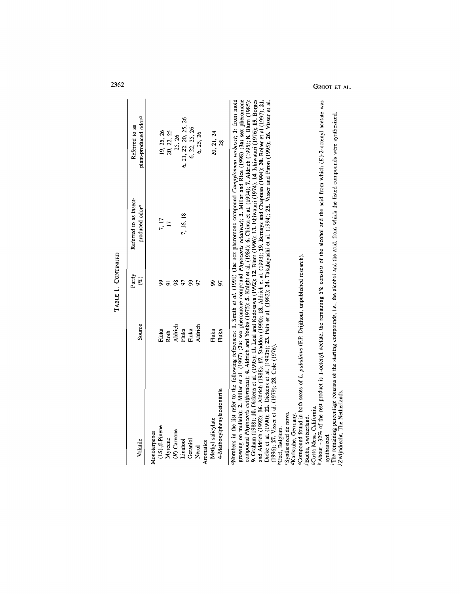|                                                                                                                                                                                                                                                                                                                                                                                                                                                                                                                                                                                                                                                                                                                                                                                                                                                                                                                                                                                                                                                                                                                                                                                                                                                                                                                                                                                                                                                                                                                                                   |         | TABLE 1. CONTINUED |                                                      |                                                    |
|---------------------------------------------------------------------------------------------------------------------------------------------------------------------------------------------------------------------------------------------------------------------------------------------------------------------------------------------------------------------------------------------------------------------------------------------------------------------------------------------------------------------------------------------------------------------------------------------------------------------------------------------------------------------------------------------------------------------------------------------------------------------------------------------------------------------------------------------------------------------------------------------------------------------------------------------------------------------------------------------------------------------------------------------------------------------------------------------------------------------------------------------------------------------------------------------------------------------------------------------------------------------------------------------------------------------------------------------------------------------------------------------------------------------------------------------------------------------------------------------------------------------------------------------------|---------|--------------------|------------------------------------------------------|----------------------------------------------------|
| Volatile                                                                                                                                                                                                                                                                                                                                                                                                                                                                                                                                                                                                                                                                                                                                                                                                                                                                                                                                                                                                                                                                                                                                                                                                                                                                                                                                                                                                                                                                                                                                          | Source  | Purity<br>$(\%)$   | Referred to as insect-<br>produced odor <sup>a</sup> | plant-produced odor <sup>a</sup><br>Referred to as |
| Monoterpenes                                                                                                                                                                                                                                                                                                                                                                                                                                                                                                                                                                                                                                                                                                                                                                                                                                                                                                                                                                                                                                                                                                                                                                                                                                                                                                                                                                                                                                                                                                                                      |         |                    |                                                      |                                                    |
| $(1S)$ - $\beta$ -Pinene                                                                                                                                                                                                                                                                                                                                                                                                                                                                                                                                                                                                                                                                                                                                                                                                                                                                                                                                                                                                                                                                                                                                                                                                                                                                                                                                                                                                                                                                                                                          | Fluka   | S,                 | 7, 17                                                | 19, 25, 26                                         |
| Myrcene                                                                                                                                                                                                                                                                                                                                                                                                                                                                                                                                                                                                                                                                                                                                                                                                                                                                                                                                                                                                                                                                                                                                                                                                                                                                                                                                                                                                                                                                                                                                           | Roth    |                    | $\overline{17}$                                      | 20, 22, 25                                         |
| $(R)$ -Carvone                                                                                                                                                                                                                                                                                                                                                                                                                                                                                                                                                                                                                                                                                                                                                                                                                                                                                                                                                                                                                                                                                                                                                                                                                                                                                                                                                                                                                                                                                                                                    | Aldrich | 58                 |                                                      | 25, 26                                             |
| Linalool                                                                                                                                                                                                                                                                                                                                                                                                                                                                                                                                                                                                                                                                                                                                                                                                                                                                                                                                                                                                                                                                                                                                                                                                                                                                                                                                                                                                                                                                                                                                          | Fluka   |                    | 7, 16, 18                                            | 6, 21, 22, 20, 25, 26                              |
| Geraniol                                                                                                                                                                                                                                                                                                                                                                                                                                                                                                                                                                                                                                                                                                                                                                                                                                                                                                                                                                                                                                                                                                                                                                                                                                                                                                                                                                                                                                                                                                                                          | Fluka   | 58                 |                                                      | 6, 22, 25, 26                                      |
| Nerol                                                                                                                                                                                                                                                                                                                                                                                                                                                                                                                                                                                                                                                                                                                                                                                                                                                                                                                                                                                                                                                                                                                                                                                                                                                                                                                                                                                                                                                                                                                                             | Aldrich | 57                 |                                                      | 6, 25, 26                                          |
| Aromatics                                                                                                                                                                                                                                                                                                                                                                                                                                                                                                                                                                                                                                                                                                                                                                                                                                                                                                                                                                                                                                                                                                                                                                                                                                                                                                                                                                                                                                                                                                                                         |         |                    |                                                      |                                                    |
| Methyl salicylate                                                                                                                                                                                                                                                                                                                                                                                                                                                                                                                                                                                                                                                                                                                                                                                                                                                                                                                                                                                                                                                                                                                                                                                                                                                                                                                                                                                                                                                                                                                                 | Fluka   | S)                 |                                                      | 20, 21, 24                                         |
| 4-Methoxylphenylacetonitrile                                                                                                                                                                                                                                                                                                                                                                                                                                                                                                                                                                                                                                                                                                                                                                                                                                                                                                                                                                                                                                                                                                                                                                                                                                                                                                                                                                                                                                                                                                                      | Fluka   | 50                 |                                                      | $\frac{28}{2}$                                     |
| Polymbers in the list refer to the following references: 1. Smith et al. (1991) (la: sex pheromone compound <i>Campylomma verbasci</i> ; 1: from mold<br>growing on mullein); 2. Millar et al. (1997) (2a: sex pheromone compound Phytocoris relativus); 3. Millar and Rice (1998) (3a: sex pheromone<br>9. Graham (1988); 10. Dickens et al. (1995); 11. Leal and Kadosawa (1992); 12. Blum (1996); 13. Ishiwatari (1974); 14. Ishiwatari (1976); 15. Borges<br>$h$ About ~32% of the rest product is 1-octenyl acetate, the remaining 5% consists of the alcohol and the acid from which $(E)$ -2-octenyl acetate was<br>and Aldrich (1992); 16. Aldrich (1988); 17. Staddon (1990); 18. Aldrich et al. (1993); 19. Bernays and Chapman (1994); 20. Bolter et al (1997); 21.<br>Dicke et al. (1990); 22. Dickens et al. (1993b); 23. Fein et al. (1982); 24. Takabayashi et al. (1994); 25. Visser and Piron (1995); 26. Visser et al.<br>compound Phytocoris californicus); 4. Aldrich and Yonke (1975); 5. Knight et al. (1984); 6. Chinta et al. (1994); 7. Aldrich (1995); 8. Blum (1985);<br>The remaining percentage consiss of the starting compounds, i.e., the alcohol and the acid, from which the listed compounds were synthesized.<br>eCompound found in both sexes of L. pabulinus (F.P. Drijfhout, unpublished research).<br>(1976); 27. Visser et al. (1979); 28. Cole (1976).<br><sup>s</sup> Costa Mesa, California.<br>Synthesized de novo.<br>dKarlsruhe, Germany.<br>Buchs, Switzerland.<br>bGeel, Belgium.<br>synthesized |         |                    |                                                      |                                                    |
| Zwijndrecht, The Netherlands.                                                                                                                                                                                                                                                                                                                                                                                                                                                                                                                                                                                                                                                                                                                                                                                                                                                                                                                                                                                                                                                                                                                                                                                                                                                                                                                                                                                                                                                                                                                     |         |                    |                                                      |                                                    |

GROOT ET AL.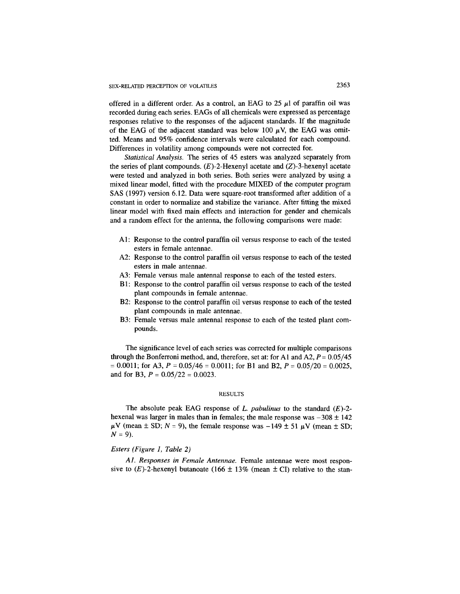offered in a different order. As a control, an EAG to 25  $\mu$ l of paraffin oil was recorded during each series. EAGs of all chemicals were expressed as percentage responses relative to the responses of the adjacent standards. If the magnitude of the EAG of the adjacent standard was below 100  $\mu$ V, the EAG was omitted. Means and 95% confidence intervals were calculated for each compound. Differences in volatility among compounds were not corrected for.

*Statistical Analysis.* The series of 45 esters was analyzed separately from the series of plant compounds.  $(E)$ -2-Hexenyl acetate and  $(Z)$ -3-hexenyl acetate were tested and analyzed in both series. Both series were analyzed by using a mixed linear model, fitted with the procedure MIXED of the computer program SAS (1997) version 6.12. Data were square-root transformed after addition of a constant in order to normalize and stabilize the variance. After fitting the mixed linear model with fixed main effects and interaction for gender and chemicals and a random effect for the antenna, the following comparisons were made:

- A1: Response to the control paraffin oil versus response to each of the tested esters in female antennae.
- A2: Response to the control paraffin oil versus response to each of the tested esters in male antennae.
- A3: Female versus male antennal response to each of the tested esters.
- B1: Response to the control paraffin oil versus response to each of the tested plant compounds in female antennae.
- B2: Response to the control paraffin oil versus response to each of the tested plant compounds in male antennae.
- B3: Female versus male antennal response to each of the tested plant compounds.

The significance level of each series was corrected for multiple comparisons through the Bonferroni method, and, therefore, set at: for A1 and *A2,P=* 0.05/45 = 0.0011; for A3, *P =* 0.05/46 = 0.0011; for B1 and B2, *P =* 0.05/20 = 0.0025, and for B3, *P =* 0.05/22 = 0.0023.

## **RESULTS**

The absolute peak EAG response of *L. pabulinus* to the standard (E)-2 hexenal was larger in males than in females; the male response was  $-308 \pm 142$  $\mu$ V (mean  $\pm$  SD;  $N = 9$ ), the female response was  $-149 \pm 51 \mu$ V (mean  $\pm$  SD; *N = 9).*

## *Esters (Figure 1, Table 2)*

*A1. Responses in Female Antennae.* Female antennae were most responsive to  $(E)$ -2-hexenyl butanoate (166  $\pm$  13% (mean  $\pm$  CI) relative to the stan-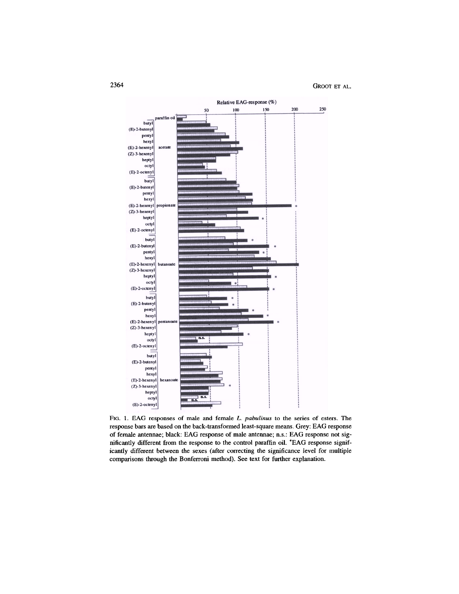

FIG. 1. EAG responses of male and female *L. pabulinus* to the series of esters. The response bars are based on the back-transformed least-square means. Grey: EAG response of female antennae; black: EAG response of male antennae; n.s.: EAG response not significantly different from the response to the control paraffin oil. \*EAG response significantly different between the sexes (after correcting the significance level for multiple comparisons through the Bonferroni method). See text for further explanation.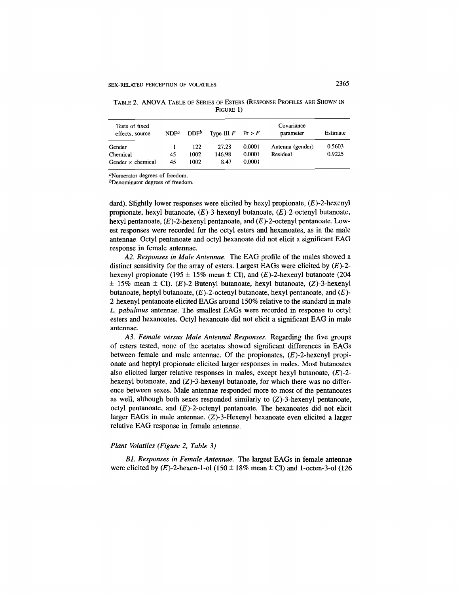| Tests of fixed<br>effects, source | NDF <sup>a</sup> | $\mathsf{DDF}^b$ | Type III $F$ Pr > F |        | Covariance<br>parameter | Estimate |
|-----------------------------------|------------------|------------------|---------------------|--------|-------------------------|----------|
| Gender                            |                  | 122              | 27.28               | 0.0001 | Antenna (gender)        | 0.5603   |
| Chemical                          | 45               | 1002             | 146.98              | 0.0001 | Residual                | 0.9225   |
| Gender $\times$ chemical          | 45               | 1002             | 8.47                | 0.0001 |                         |          |

TABLE 2. ANOVA TABLE OF SERIES OF ESTERS (RESPONSE PROFILES ARE SHOWN IN FIGURE 1)

<sup>a</sup>Numerator degrees of freedom.

<sup>b</sup>Denominator degrees of freedom.

dard). Slightly lower responses were elicited by hexyl propionate,  $(E)$ -2-hexenyl propionate, hexyl butanoate,  $(E)$ -3-hexenyl butanoate,  $(E)$ -2-octenyl butanoate, hexyl pentanoate,  $(E)$ -2-hexenyl pentanoate, and  $(E)$ -2-octenyl pentanoate. Lowest responses were recorded for the octyl esters and hexanoates, as in the male antennae. Octyl pentanoate and octyl hexanoate did not elicit a significant EAG response in female antennae.

*A2. Responses in Male Antennae.* The EAG profile of the males showed a distinct sensitivity for the array of esters. Largest EAGs were elicited by  $(E)$ -2hexenyl propionate (195  $\pm$  15% mean  $\pm$  CI), and (E)-2-hexenyl butanoate (204  $\pm$  15% mean  $\pm$  CI). (E)-2-Butenyl butanoate, hexyl butanoate, (Z)-3-hexenyl butanoate, heptyl butanoate,  $(E)$ -2-octenyl butanoate, hexyl pentanoate, and  $(E)$ -2-hexenyl pentanoate elicited EAGs around 150% relative to the standard in male *L. pabulinus* antennae. The smallest EAGs were recorded in response to octyl esters and hexanoates. Octyl hexanoate did not elicit a significant EAG in male antennae.

*A3. Female versus Male Antennal Responses.* Regarding the five groups of esters tested, none of the acetates showed significant differences in EAGs between female and male antennae. Of the propionates,  $(E)$ -2-hexenyl propionate and heptyl propionate elicited larger responses in males. Most butanoates also elicited larger relative responses in males, except hexyl butanoate, *(E)-2* hexenyl butanoate, and  $(Z)$ -3-hexenyl butanoate, for which there was no difference between sexes. Male antennae responded more to most of the pentanoates as well, although both sexes responded similarly to  $(Z)$ -3-hexenyl pentanoate, octyl pentanoate, and  $(E)$ -2-octenyl pentanoate. The hexanoates did not elicit larger EAGs in male antennae. (Z)-S-Hexenyl hexanoate even elicited a larger relative EAG response in female antennae.

## *Plant Volatiles (Figure 2, Table 3)*

*B1. Responses in Female Antennae.* The largest EAGs in female antennae were elicited by  $(E)$ -2-hexen-1-ol (150  $\pm$  18% mean  $\pm$  CI) and 1-octen-3-ol (126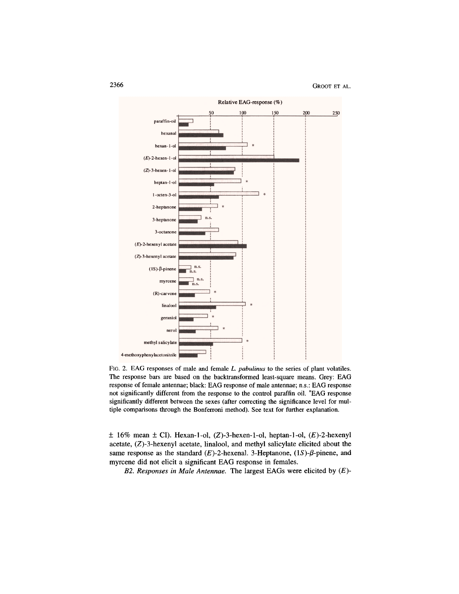

FIG. 2. EAG responses of male and female *L. pabulinus* to the series of plant volatiles. The response bars are based on the backtransformed least-square means. Grey: EAG response of female antennae; black: EAG response of male antennae; n.s.: EAG response not significantly different from the response to the control paraffin oil. \*EAG response significantly different between the sexes (after correcting the significance level for multiple comparisons through the Bonferroni method). See text for further explanation.

 $\pm$  16% mean  $\pm$  CI). Hexan-1-ol, (Z)-3-hexen-1-ol, heptan-1-ol, (E)-2-hexenyl acetate, (Z)-3-hexenyl acetate, linalool, and methyl salicylate elicited about the same response as the standard  $(E)$ -2-hexenal. 3-Heptanone,  $(1S)$ - $\beta$ -pinene, and myrcene did not elicit a significant EAG response in females.

*B2. Responses in Male Antennae.* The largest EAGs were elicited by (E)-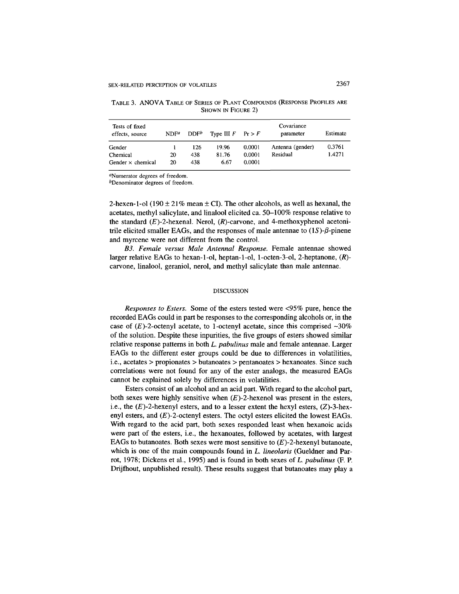| Tests of fixed<br>effects, source | NDF <sup>a</sup> | $DDF^b$ | Type III $F$ Pr $> F$ |        | Covariance<br>parameter | Estimate |
|-----------------------------------|------------------|---------|-----------------------|--------|-------------------------|----------|
| Gender                            |                  | 126     | 19.96                 | 0.0001 | Antenna (gender)        | 0.3761   |
| Chemical                          | 20               | 438     | 81.76                 | 0.0001 | Residual                | 1.4271   |
| Gender $\times$ chemical          | 20               | 438     | 6.67                  | 0.0001 |                         |          |

TABLE 3. ANOVA TABLE OF SERIES OF PLANT COMPOUNDS (RESPONSE PROFILES ARE SHOWN IN FIGURE 2)

<sup>a</sup>Numerator degrees of freedom.

<sup>b</sup>Denominator degrees of freedom.

2-hexen-1-ol (190  $\pm$  21% mean  $\pm$  CI). The other alcohols, as well as hexanal, the acetates, methyl salicylate, and linalool elicited ca. 50-100% response relative to the standard  $(E)$ -2-hexenal. Nerol,  $(R)$ -carvone, and 4-methoxyphenol acetonitrile elicited smaller EAGs, and the responses of male antennae to  $(1S)$ - $\beta$ -pinene and myrcene were not different from the control.

*B3. Female versus Male Antennal Response.* Female antennae showed larger relative EAGs to hexan-1-ol, heptan-1-ol, l-octen-3-ol, 2-heptanone, (R) carvone, linalool, geraniol, nerol, and methyl salicylate than male antennae.

#### DISCUSSION

*Responses to Esters.* Some of the esters tested were <95% pure, hence the recorded EAGs could in part be responses to the corresponding alcohols or, in the case of  $(E)$ -2-octenyl acetate, to 1-octenyl acetate, since this comprised  $\sim$ 30% of the solution. Despite these inpurities, the five groups of esters showed similar relative response patterns in both *L. pabulinus* male and female antennae. Larger EAGs to the different ester groups could be due to differences in volatilities, i.e., acetates > propionates > butanoates > pentanoates > hexanoates. Since such correlations were not found for any of the ester analogs, the measured EAGs cannot be explained solely by differences in volatilities.

Esters consist of an alcohol and an acid part. With regard to the alcohol part, both sexes were highly sensitive when  $(E)$ -2-hexenol was present in the esters, i.e., the  $(E)$ -2-hexenyl esters, and to a lesser extent the hexyl esters,  $(Z)$ -3-hexenyl esters, and  $(E)$ -2-octenyl esters. The octyl esters elicited the lowest EAGs. With regard to the acid part, both sexes responded least when hexanoic acids were part of the esters, i.e., the hexanoates, followed by acetates, with largest EAGs to butanoates. Both sexes were most sensitive to  $(E)$ -2-hexenyl butanoate, which is one of the main compounds found in *L. lineolaris* (Gueldner and Parrot, 1978; Dickens et al., 1995) and is found in both sexes of *L. pabulinus* (F. P. Drijfhout, unpublished result). These results suggest that butanoates may play a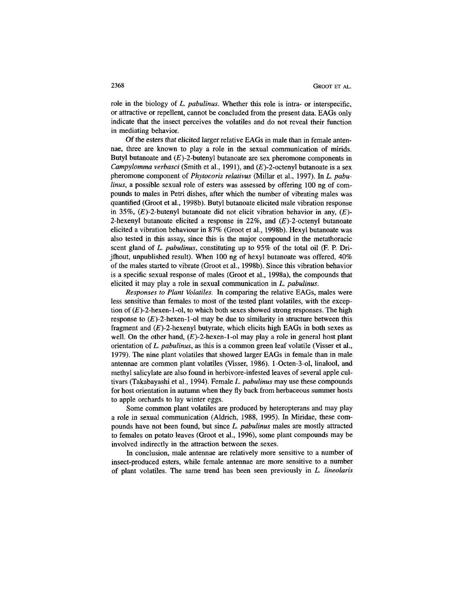role in the biology of *L. pabulinus.* Whether this role is intra- or interspecific, or attractive or repellent, cannot be concluded from the present data. EAGs only indicate that the insect perceives the volatiles and do not reveal their function in mediating behavior.

Of the esters that elicited larger relative EAGs in male than in female antennae, three are known to play a role in the sexual communication of mirids. Butyl butanoate and  $(E)$ -2-butenyl butanoate are sex pheromone components in *Campylomma verbasci* (Smith et al., 1991), and (E)-2-octenyl butanoate is a sex pheromone component of *Phytocoris relativus* (Millar et al., 1997). In *L. pabulinus,* a possible sexual role of esters was assessed by offering 100 ng of compounds to males in Petri dishes, after which the number of vibrating males was quantified (Groot et al., 1998b). Butyl butanoate elicited male vibration response in 35%, (E)-2-butenyl butanoate did not elicit vibration behavior in any, *(E)-* 2-hexenyl butanoate elicited a response in 22%, and  $(E)$ -2-octenyl butanoate elicited a vibration behaviour in 87% (Groot et al., 1998b). Hexyl butanoate was also tested in this assay, since this is the major compound in the metathoracic scent gland of *L. pabulinus,* constituting up to 95% of the total oil (F. P. Drijfhout, unpublished result). When 100 ng of hexyl butanoate was offered, 40% of the males started to vibrate (Groot et al., 1998b). Since this vibration behavior is a specific sexual response of males (Groot et al., 1998a), the compounds that elicited it may play a role in sexual communication in *L. pabulinus.*

*Responses to Plant Volatiles.* In comparing the relative EAGs, males were less sensitive than females to most of the tested plant volatiles, with the exception of  $(E)$ -2-hexen-1-ol, to which both sexes showed strong responses. The high response to  $(E)$ -2-hexen-1-ol may be due to similarity in structure between this fragment and  $(E)$ -2-hexenyl butyrate, which elicits high EAGs in both sexes as well. On the other hand,  $(E)$ -2-hexen-1-ol may play a role in general host plant orientation of *L. pabulinus,* as this is a common green leaf volatile (Visser et al., 1979). The nine plant volatiles that showed larger EAGs in female than in male antennae are common plant volatiles (Visser, 1986). 1-Octen-3-ol, linalool, and methyl salicylate are also found in herbivore-infested leaves of several apple cultivars (Takabayashi et al., 1994). Female *L. pabulinus* may use these compounds for host orientation in autumn when they fly back from herbaceous summer hosts to apple orchards to lay winter eggs.

Some common plant volatiles are produced by heteropterans and may play a role in sexual communication (Aldrich, 1988, 1995). In Miridae, these compounds have not been found, but since *L. pabulinus* males are mostly attracted to females on potato leaves (Groot et al., 1996), some plant compounds may be involved indirectly in the attraction between the sexes.

In conclusion, male antennae are relatively more sensitive to a number of insect-produced esters, while female antennae are more sensitive to a number of plant volatiles. The same trend has been seen previously in *L. lineolaris*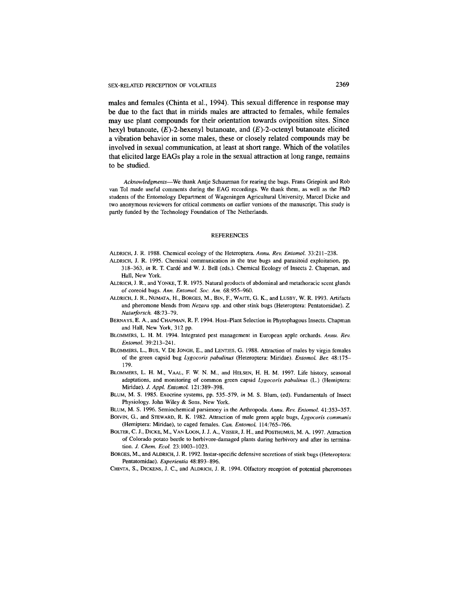males and females (Chinta et al., 1994). This sexual difference in response may be due to the fact that in mirids males are attracted to females, while females may use plant compounds for their orientation towards oviposition sites. Since hexyl butanoate,  $(E)$ -2-hexenyl butanoate, and  $(E)$ -2-octenyl butanoate elicited a vibration behavior in some males, these or closely related compounds may be involved in sexual communication, at least at short range. Which of the volatiles that elicited large EAGs play a role in the sexual attraction at long range, remains to be studied.

*Acknowledgments*—We thank Antje Schuurman for rearing the bugs. Frans Griepink and Rob van Tol made useful comments during the EAG recordings. We thank them, as well as the PhD students of the Entomology Department of Wageningen Agricultural University, Marcel Dicke and two anonymous reviewers for critical comments on earlier versions of the manuscript. This study is partly funded by the Technology Foundation of The Netherlands.

#### REFERENCES

- ALDRICH, J. R. 1988. Chemical ecology of the Heteroptera. *Annu. Rev. Entomol.* 33:211-238.
- ALDRICH, J. R. 1995. Chemical communication in the true bugs and parasitoid exploitation, pp. 318-363, *in* R. T. Carde and W. J. Bell (eds.). Chemical Ecology of Insects 2. Chapman, and Hall, New York.
- ALDRICH, J. R., and YONKE, T. R. 1975. Natural products of abdominal and metathoracic scent glands of coreoid bugs. *Ann. Entomol. Soc. Am.* 68:955-960.
- ALDRICH, J. R., NUMATA, H., BORGES, M, BIN, F., WAITE, G. K., and LUSBY, W. R. 1993. Artifacts and pheromone blends from *Nezara* spp. and other stink bugs (Heteroptera: Pentatomidae). Z. *Naturforsch.* 48:73-79.
- BERNAYS, E. A., and CHAPMAN, R. F. 1994. Host-Plant Selection in Phytophagous Insects. Chapman and Hall, New York, 312 pp.
- BLOMMERS, L. H. M. 1994. Integrated pest management in European apple orchards. *Annu. Rev. Entomol.* 39:213-241.
- BLOMMERS, L., Bus, V. DE JONGH, E., and LENTJES, G. 1988. Attraction of males by virgin females of the green capsid bug *Lygocoris pabulinus* (Heteroptera: Miridae). *Entomol. Ber.* 48:175- 179.
- BLOMMERS, L. H. M., VAAL, F. W. N. M., and HELSEN, H. H. M. 1997. Life history, seasonal adaptations, and monitoring of common green capsid *Lygocoris pabulinus* (L.) (Hemiptera: Miridae). *J. Appl. Entomol.* 121:389-398.
- BLUM, M. S. 1985. Exocrine systems, pp. 535-579, *in* M. S. Blum, (ed). Fundamentals of Insect Physiology. John Wiley & Sons, New York.
- BLUM, M. S. 1996. Semiochemical parsimony in the Arthropoda. *Annu. Rev. Entomol.* 41:353-357. BOIVIN, G., and STEWARD, R. K. 1982. Attraction of male green apple bugs, *Lygocoris communis*
- (Hemiptera: Miridae), to caged females. *Can. Entomol.* 114:765-766.
- BOLTER, C. J., DICKE, M., VAN LOON, J. J. A., VISSER, J. H., and POSTHUMUS, M. A. 1997. Attraction of Colorado potato beetle to herbivore-damaged plants during herbivory and after its termination. *J. Chem. Ecol.* 23:1003-1023.
- BORGES, M., and ALDRICH, J. R. 1992. Instar-specific defensive secretions of stink bugs (Heteroptera: Pentatomidae). *Experientia* 48:893-896.
- CHINTA, S., DICKENS, J. C., and ALDRICH, J. R. 1994. Olfactory reception of potential pheromones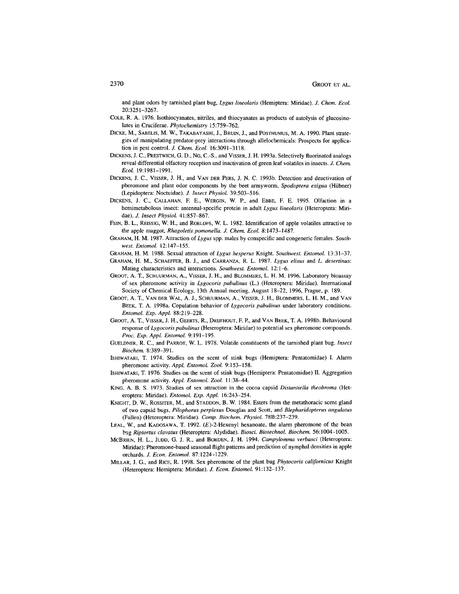and plant odors by tarnished plant bug, *Lygus lineolaris* (Hemiptera: Miridae). *J. Chem. Ecol.* 20:3251-3267.

- COLE, R. A. 1976. Isothiocyanates, nitriles, and thiocyanates as products of autolysis of glucosinolates in Cruciferae. *Phytochemistry* 15:759-762.
- DICKE, M, SABELIS, M. W., TAKABAYASHI, J., BRUIN, J., and POSTHUMUS, M. A. 1990. Plant strategies of manipulating predator-prey interactions through allelochemicals: Prospects for application in pest control. *J. Chem. Ecol.* 16:3091-3118.
- DICKENS, J. C, PRESTWICH, G. D., NG, C.-S., and VISSER, J. H. 1993a. Selectively fluorinated analogs reveal differential olfactory reception and inactivation of green leaf volatiles in insects. *J. Chem. Ecol.* 19:1981-1991.
- DICKENS, J. C., VISSER, J. H., and VAN DER PERS, J. N. C. 1993b. Detection and deactivation of pheromone and plant odor components by the beet armyworm, *Spodoptera exigua* (Hubner) (Lepidoptera: Noctuidae). J. *Insect Physiol* 39:503-516.
- DICKENS, J. C., CALLAHAN, F. E., WERGIN, W. P., and EBBE, F. E. 1995. Olfaction in a hemimetabolous insect: antennal-specific protein in adult *Lygus lineolaris* (Heteroptera: Miridae). *J. Insect Physiol.* 41:857-867.
- FEIN, B. L., REISSIG, W. H., and ROELOFS, W. L. 1982. Identification of apple volatiles attractive to the apple maggot, *Rhagoletis pomonella. J. Chem. Ecol.* 8:1473-1487.
- GRAHAM, H. M. 1987. Attraction of *Lygus* spp. males by conspecific and congeneric females. *Southwest. Entomol.* 12:147-155.
- GRAHAM, H. M. 1988. Sexual attraction *of Lygus hesperus* Knight. *Southwest. Entomol.* 13:31-37.
- GRAHAM, H. M., SCHAEFFER, B. J., and CARRANZA, R. L. 1987. *Lygus elisus* and *L. desertinus:* Mating characteristics and interactions. *Southwest. Entomol.* 12:1-6.
- GROOT, A. T., SCHUURMAN, A., VISSER, J. H., and BLOMMERS, L. H. M. 1996. Laboratory bioassay of sex pheromone activity in *Lygocoris pabulinus* (L.) (Heteroptera: Miridae). International Society of Chemical Ecology, 13th Annual meeting, August 18-22, 1996, Prague, p. 189.
- GROOT, A. T., VAN DER WAL, A. J., SCHUURMAN, A., VISSER, J. H., BLOMMERS, L. H. M., and VAN BEEK, T. A. 1998a. Copulation behavior of *Lygocoris pabulinus* under laboratory conditions. *Entomol. Exp. Appl.* 88:219-228.
- GROOT, A. T., VISSER, J. H., GEERTS, R., DRIJFHOUT, F. P., and VAN BEEK, T. A. 1998b. Behavioural response of *Lygocoris pabulinus* (Heteroptera: Miridae) to potential sex pheromone compounds. *Proc. Exp. Appl. Entomol.* 9:191-195.
- GUELDNER, R. C., and PARROT, W. L. 1978. Volatile constituents of the tarnished plant bug. *Insect Biochem.* 8:389-391.
- ISHIWATARI, T. 1974. Studies on the scent of stink bugs (Hemiptera: Pentatomidae) I. Alarm pheromone activity. *Appl. Entomol. Zool.* 9:153-158.
- ISHIWATARI, T. 1976. Studies on the scent of stink bugs (Hemiptera: Pentatomidae) II. Aggregation pheromone activity. *Appl. Entomol. Zool.* 11:38-44.
- KINO, A. B. S. 1973. Studies of sex attraction in the cocoa capsid *Distantiella theobroma* (Heteroptera: Miridae). *Entomol. Exp. Appl.* 16:243-254.
- KNIGHT, D. W., ROSSITER, M., and STADDON, B. W. 1984. Esters from the metathoracic scent gland of two capsid bugs, *Pilophorus perplexus* Douglas and Scott, and *Blepharidopterus angulatus* (Fallen) (Heteroptera: Miridae). *Comp. Biochem. Physiol.* 788:237-239.
- LEAL, W., and KADOSAWA, T. 1992.  $(E)$ -2-Hexenyl hexanoate, the alarm pheromone of the bean bug *Riptortus clavatus* (Heteroptera: Alydidae). *Biosci. Biotechnol. Biochem.* 56:1004-1005.
- McBRIEN, H. L., JUDD, G. J. R., and BORDEN, J. H. 1994. *Campylomma verbasci* (Heteroptera: Miridae): Pheromone-based seasonal flight patterns and prediction of nymphal densities in apple orchards. *J. Econ. Entomol.* 87:1224-1229.
- MILLAR, J. G., and RICE, R. 1998. Sex pheromone of the plant bug *Phytocoris califomicus* Knight (Heteroptera: Hemiptera: Miridae). J. *Econ. Entomol.* 91:132-137.